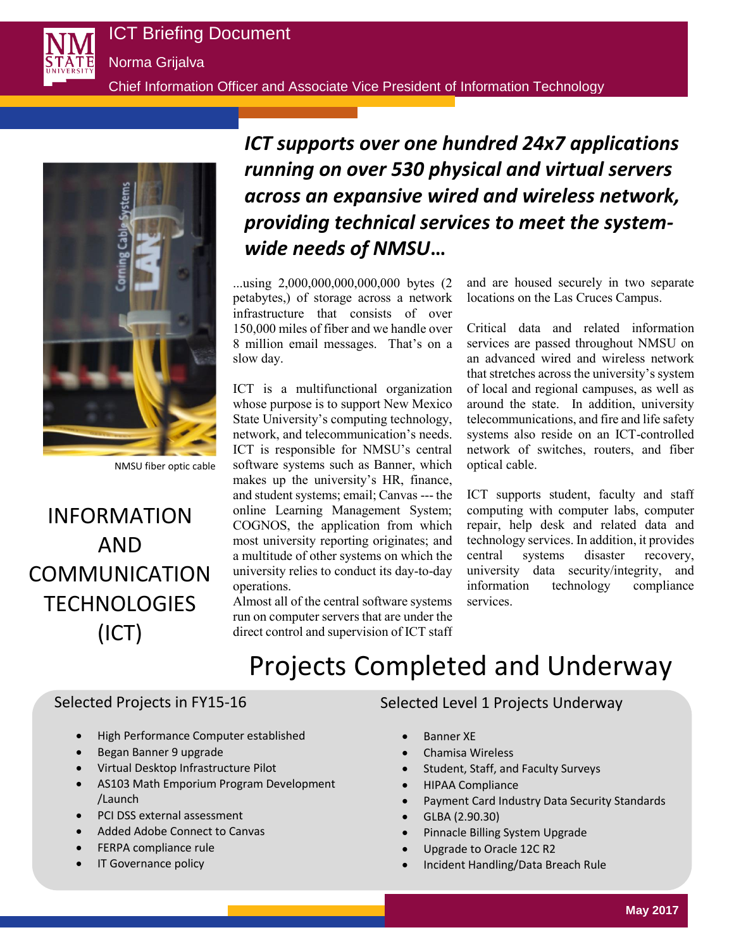

Norma Grijalva

Chief Information Officer and Associate Vice President of Information Technology



NMSU fiber optic cable

# INFORMATION AND COMMUNICATION **TECHNOLOGIES** (ICT)

# *ICT supports over one hundred 24x7 applications running on over 530 physical and virtual servers across an expansive wired and wireless network, providing technical services to meet the systemwide needs of NMSU***…**

...using 2,000,000,000,000,000 bytes (2 petabytes,) of storage across a network infrastructure that consists of over 150,000 miles of fiber and we handle over 8 million email messages. That's on a slow day.

ICT is a multifunctional organization whose purpose is to support New Mexico State University's computing technology, network, and telecommunication's needs. ICT is responsible for NMSU's central software systems such as Banner, which makes up the university's HR, finance, and student systems; email; Canvas --- the online Learning Management System; COGNOS, the application from which most university reporting originates; and a multitude of other systems on which the university relies to conduct its day-to-day operations.

Almost all of the central software systems run on computer servers that are under the direct control and supervision of ICT staff

and are housed securely in two separate locations on the Las Cruces Campus.

Critical data and related information services are passed throughout NMSU on an advanced wired and wireless network that stretches across the university's system of local and regional campuses, as well as around the state. In addition, university telecommunications, and fire and life safety systems also reside on an ICT-controlled network of switches, routers, and fiber optical cable.

ICT supports student, faculty and staff computing with computer labs, computer repair, help desk and related data and technology services. In addition, it provides central systems disaster recovery, university data security/integrity, and information technology compliance services.

# Projects Completed and Underway

# Selected Projects in FY15-16

- High Performance Computer established
- Began Banner 9 upgrade
- Virtual Desktop Infrastructure Pilot
- AS103 Math Emporium Program Development /Launch
- PCI DSS external assessment
- Added Adobe Connect to Canvas
- FERPA compliance rule
- IT Governance policy

### Selected Level 1 Projects Underway

- Banner XE
- Chamisa Wireless
- Student, Staff, and Faculty Surveys
- HIPAA Compliance
- Payment Card Industry Data Security Standards
- GLBA (2.90.30)
- Pinnacle Billing System Upgrade
- Upgrade to Oracle 12C R2
- Incident Handling/Data Breach Rule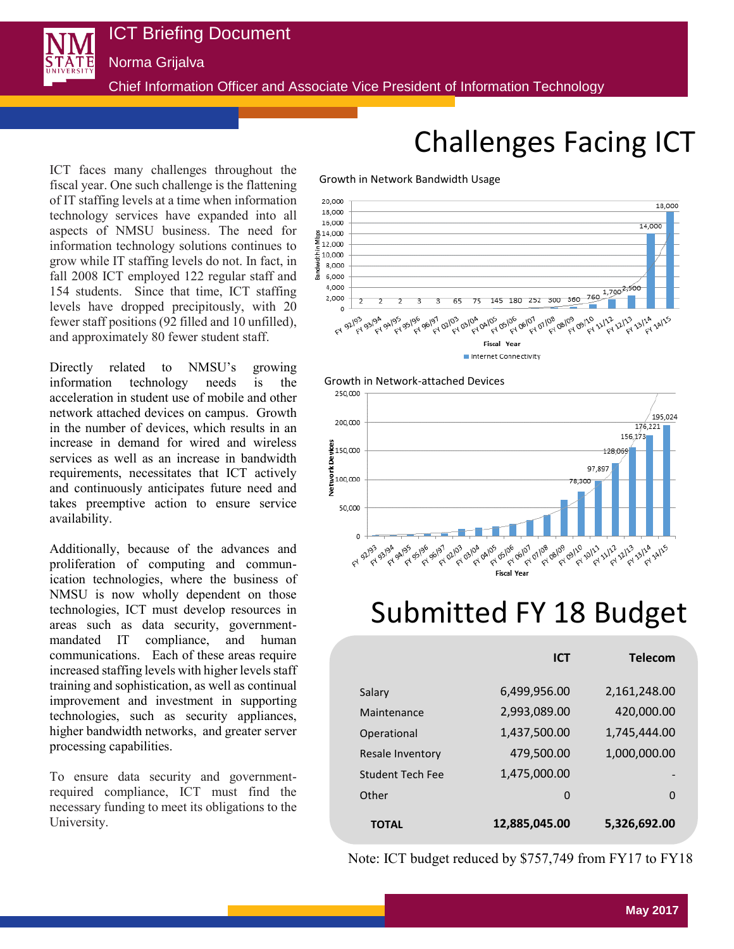Norma Grijalva

Chief Information Officer and Associate Vice President of Information Technology

Growth in Network Bandwidth Usage

ICT faces many challenges throughout the fiscal year. One such challenge is the flattening of IT staffing levels at a time when information technology services have expanded into all aspects of NMSU business. The need for information technology solutions continues to grow while IT staffing levels do not. In fact, in fall 2008 ICT employed 122 regular staff and 154 students. Since that time, ICT staffing levels have dropped precipitously, with 20 fewer staff positions (92 filled and 10 unfilled), and approximately 80 fewer student staff.

Directly related to NMSU's growing information technology needs is the acceleration in student use of mobile and other network attached devices on campus. Growth in the number of devices, which results in an increase in demand for wired and wireless services as well as an increase in bandwidth requirements, necessitates that ICT actively and continuously anticipates future need and takes preemptive action to ensure service availability.

Additionally, because of the advances and proliferation of computing and communication technologies, where the business of NMSU is now wholly dependent on those technologies, ICT must develop resources in areas such as data security, governmentmandated IT compliance, and human communications. Each of these areas require increased staffing levels with higher levels staff training and sophistication, as well as continual improvement and investment in supporting technologies, such as security appliances, higher bandwidth networks, and greater server processing capabilities.

To ensure data security and governmentrequired compliance, ICT must find the necessary funding to meet its obligations to the University.

# Challenges Facing ICT





# Submitted FY 18 Budget

|                         | <b>ICT</b>    | <b>Telecom</b> |
|-------------------------|---------------|----------------|
| Salary                  | 6,499,956.00  | 2,161,248.00   |
| Maintenance             | 2,993,089.00  | 420,000.00     |
| Operational             | 1,437,500.00  | 1,745,444.00   |
| Resale Inventory        | 479,500.00    | 1,000,000.00   |
| <b>Student Tech Fee</b> | 1,475,000.00  | -              |
| Other                   | $\mathbf 0$   | 0              |
| <b>TOTAL</b>            | 12,885,045.00 | 5,326,692.00   |

Note: ICT budget reduced by \$757,749 from FY17 to FY18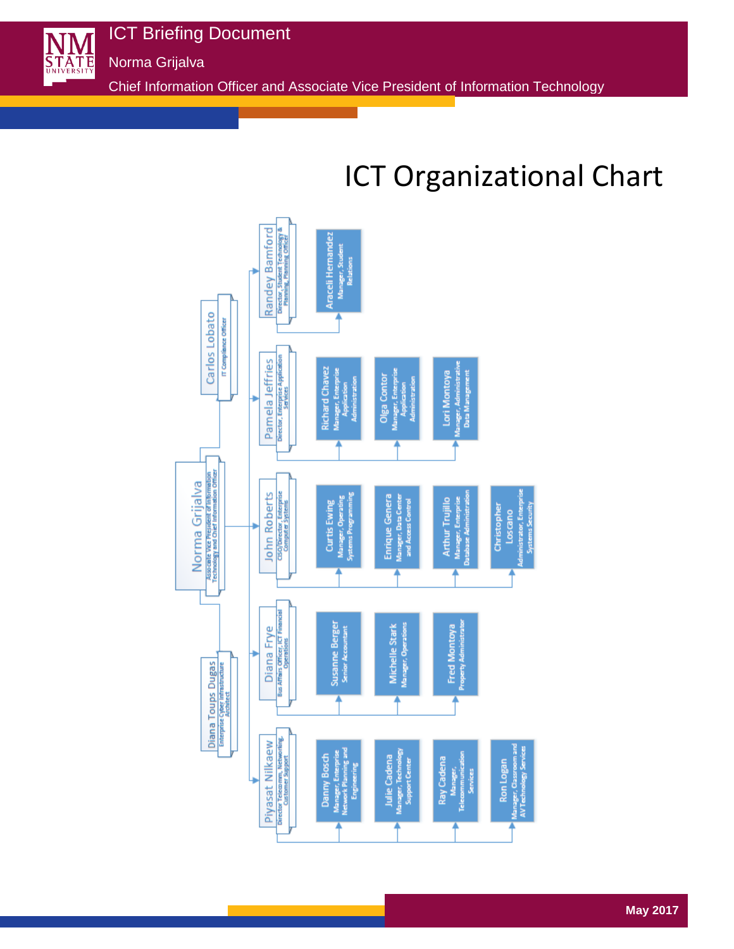**STATE** 

Norma Grijalva

ICT Briefing Document

Chief Information Officer and Associate Vice President of Information Technology

# ICT Organizational Chart

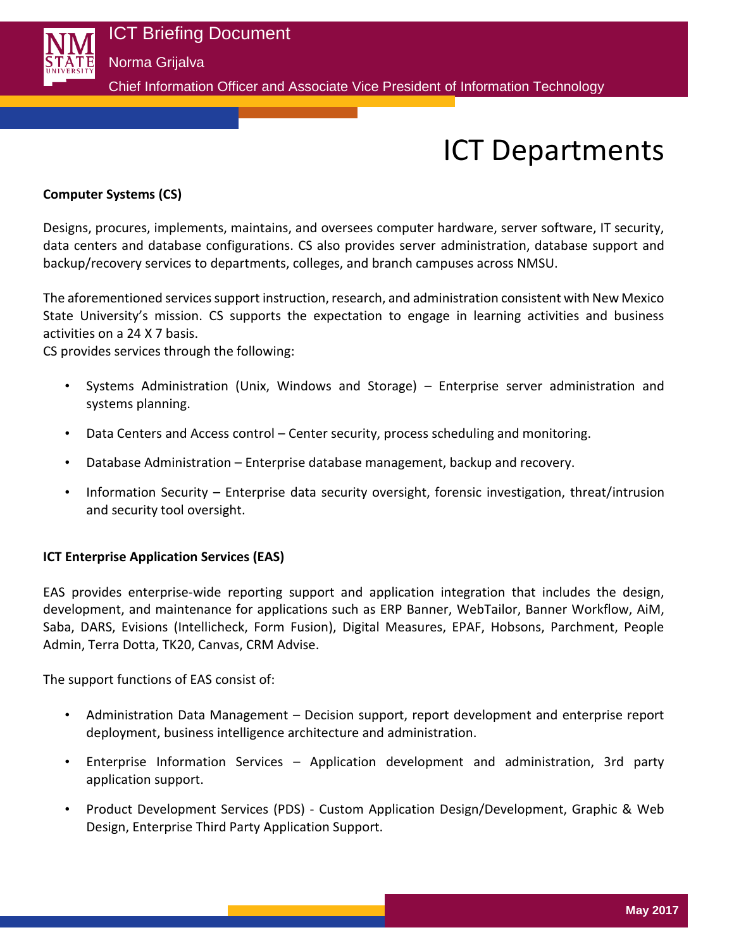

# Norma Grijalva

Chief Information Officer and Associate Vice President of Information Technology

# ICT Departments

#### **Computer Systems (CS)**

Designs, procures, implements, maintains, and oversees computer hardware, server software, IT security, data centers and database configurations. CS also provides server administration, database support and backup/recovery services to departments, colleges, and branch campuses across NMSU.

The aforementioned services support instruction, research, and administration consistent with New Mexico State University's mission. CS supports the expectation to engage in learning activities and business activities on a 24 X 7 basis.

CS provides services through the following:

- Systems Administration (Unix, Windows and Storage) Enterprise server administration and systems planning.
- Data Centers and Access control Center security, process scheduling and monitoring.
- Database Administration Enterprise database management, backup and recovery.
- Information Security Enterprise data security oversight, forensic investigation, threat/intrusion and security tool oversight.

#### **ICT Enterprise Application Services (EAS)**

EAS provides enterprise-wide reporting support and application integration that includes the design, development, and maintenance for applications such as ERP Banner, WebTailor, Banner Workflow, AiM, Saba, DARS, Evisions (Intellicheck, Form Fusion), Digital Measures, EPAF, Hobsons, Parchment, People Admin, Terra Dotta, TK20, Canvas, CRM Advise.

The support functions of EAS consist of:

- Administration Data Management Decision support, report development and enterprise report deployment, business intelligence architecture and administration.
- Enterprise Information Services Application development and administration, 3rd party application support.
- Product Development Services (PDS) Custom Application Design/Development, Graphic & Web Design, Enterprise Third Party Application Support.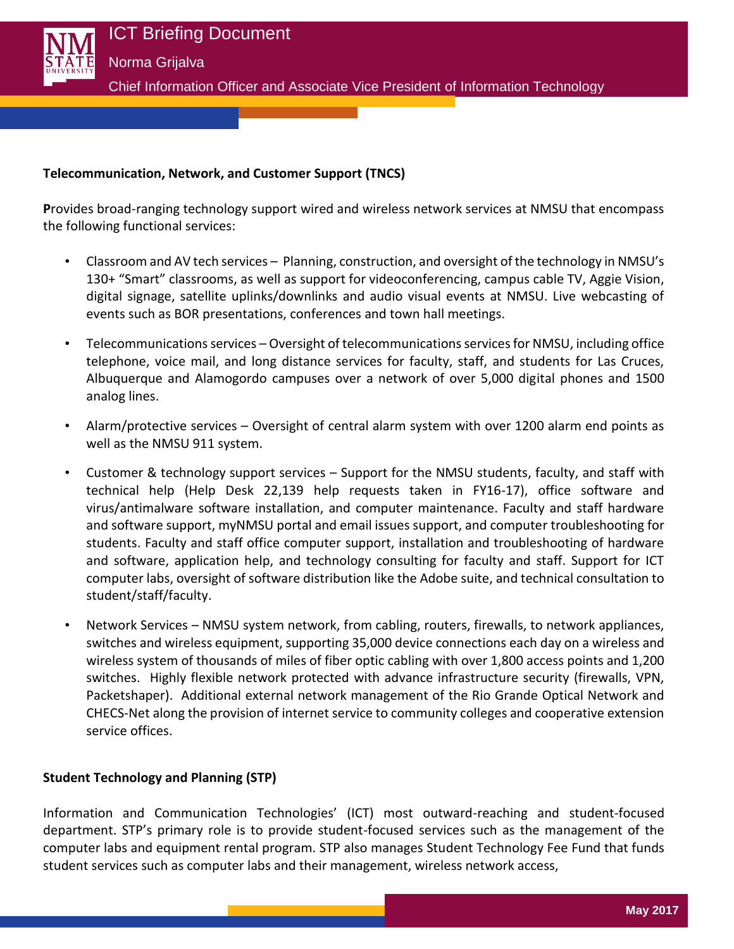

### **Telecommunication, Network, and Customer Support (TNCS)**

**P**rovides broad-ranging technology support wired and wireless network services at NMSU that encompass the following functional services:

- Classroom and AV tech services Planning, construction, and oversight of the technology in NMSU's 130+ "Smart" classrooms, as well as support for videoconferencing, campus cable TV, Aggie Vision, digital signage, satellite uplinks/downlinks and audio visual events at NMSU. Live webcasting of events such as BOR presentations, conferences and town hall meetings.
- Telecommunications services Oversight of telecommunications services for NMSU, including office telephone, voice mail, and long distance services for faculty, staff, and students for Las Cruces, Albuquerque and Alamogordo campuses over a network of over 5,000 digital phones and 1500 analog lines.
- Alarm/protective services Oversight of central alarm system with over 1200 alarm end points as well as the NMSU 911 system.
- Customer & technology support services Support for the NMSU students, faculty, and staff with technical help (Help Desk 22,139 help requests taken in FY16-17), office software and virus/antimalware software installation, and computer maintenance. Faculty and staff hardware and software support, myNMSU portal and email issues support, and computer troubleshooting for students. Faculty and staff office computer support, installation and troubleshooting of hardware and software, application help, and technology consulting for faculty and staff. Support for ICT computer labs, oversight of software distribution like the Adobe suite, and technical consultation to student/staff/faculty.
- Network Services NMSU system network, from cabling, routers, firewalls, to network appliances, switches and wireless equipment, supporting 35,000 device connections each day on a wireless and wireless system of thousands of miles of fiber optic cabling with over 1,800 access points and 1,200 switches. Highly flexible network protected with advance infrastructure security (firewalls, VPN, Packetshaper). Additional external network management of the Rio Grande Optical Network and CHECS-Net along the provision of internet service to community colleges and cooperative extension service offices.

### **Student Technology and Planning (STP)**

Information and Communication Technologies' (ICT) most outward-reaching and student-focused department. STP's primary role is to provide student-focused services such as the management of the computer labs and equipment rental program. STP also manages Student Technology Fee Fund that funds student services such as computer labs and their management, wireless network access,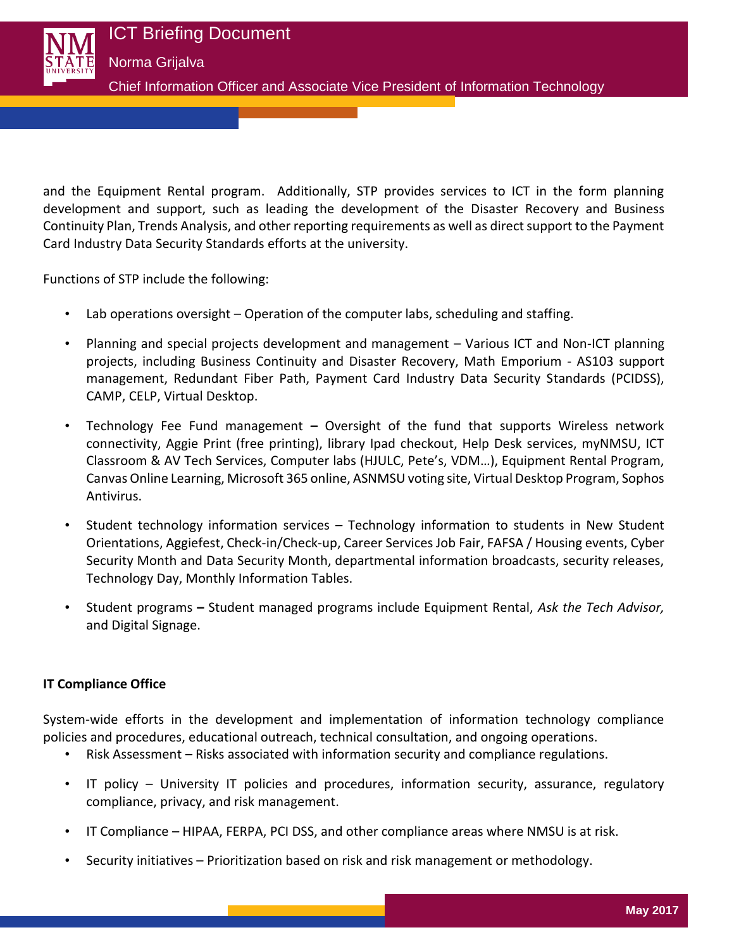

and the Equipment Rental program. Additionally, STP provides services to ICT in the form planning development and support, such as leading the development of the Disaster Recovery and Business Continuity Plan, Trends Analysis, and other reporting requirements as well as direct support to the Payment Card Industry Data Security Standards efforts at the university.

Functions of STP include the following:

- Lab operations oversight Operation of the computer labs, scheduling and staffing.
- Planning and special projects development and management Various ICT and Non-ICT planning projects, including Business Continuity and Disaster Recovery, Math Emporium - AS103 support management, Redundant Fiber Path, Payment Card Industry Data Security Standards (PCIDSS), CAMP, CELP, Virtual Desktop.
- Technology Fee Fund management **–** Oversight of the fund that supports Wireless network connectivity, Aggie Print (free printing), library Ipad checkout, Help Desk services, myNMSU, ICT Classroom & AV Tech Services, Computer labs (HJULC, Pete's, VDM…), Equipment Rental Program, Canvas Online Learning, Microsoft 365 online, ASNMSU voting site, Virtual Desktop Program, Sophos Antivirus.
- Student technology information services Technology information to students in New Student Orientations, Aggiefest, Check-in/Check-up, Career Services Job Fair, FAFSA / Housing events, Cyber Security Month and Data Security Month, departmental information broadcasts, security releases, Technology Day, Monthly Information Tables.
- Student programs **–** Student managed programs include Equipment Rental, *Ask the Tech Advisor,* and Digital Signage.

### **IT Compliance Office**

System-wide efforts in the development and implementation of information technology compliance policies and procedures, educational outreach, technical consultation, and ongoing operations.

- Risk Assessment Risks associated with information security and compliance regulations.
- IT policy University IT policies and procedures, information security, assurance, regulatory compliance, privacy, and risk management.
- IT Compliance HIPAA, FERPA, PCI DSS, and other compliance areas where NMSU is at risk.
- Security initiatives Prioritization based on risk and risk management or methodology.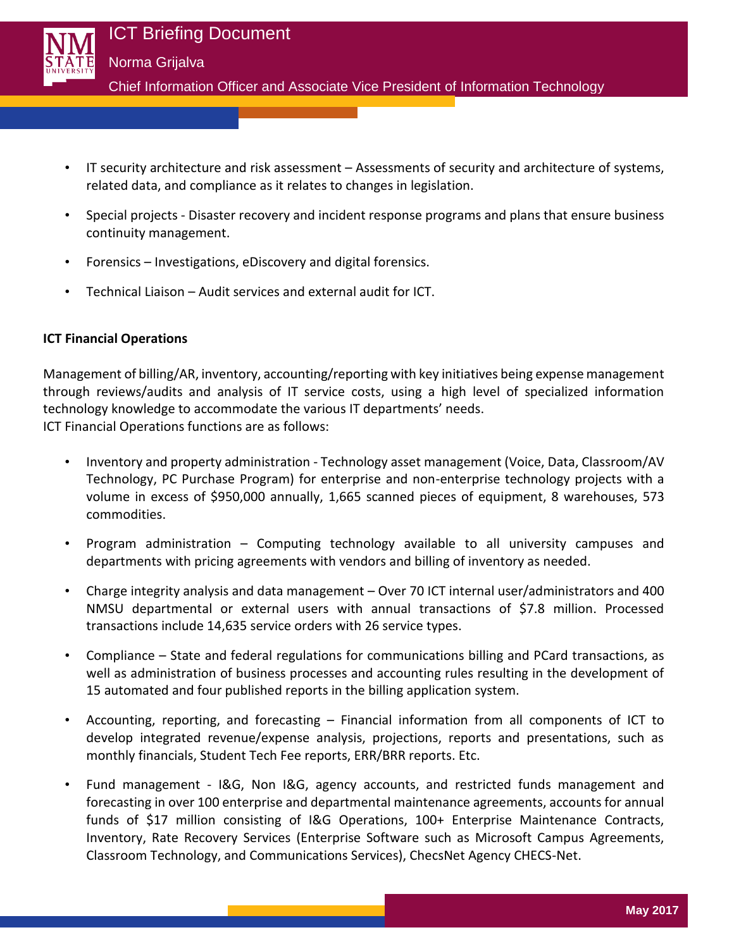

- IT security architecture and risk assessment Assessments of security and architecture of systems, related data, and compliance as it relates to changes in legislation.
- Special projects Disaster recovery and incident response programs and plans that ensure business continuity management.
- Forensics Investigations, eDiscovery and digital forensics.
- Technical Liaison Audit services and external audit for ICT.

# **ICT Financial Operations**

Management of billing/AR, inventory, accounting/reporting with key initiatives being expense management through reviews/audits and analysis of IT service costs, using a high level of specialized information technology knowledge to accommodate the various IT departments' needs. ICT Financial Operations functions are as follows:

- Inventory and property administration Technology asset management (Voice, Data, Classroom/AV Technology, PC Purchase Program) for enterprise and non-enterprise technology projects with a volume in excess of \$950,000 annually, 1,665 scanned pieces of equipment, 8 warehouses, 573 commodities.
- Program administration Computing technology available to all university campuses and departments with pricing agreements with vendors and billing of inventory as needed.
- Charge integrity analysis and data management Over 70 ICT internal user/administrators and 400 NMSU departmental or external users with annual transactions of \$7.8 million. Processed transactions include 14,635 service orders with 26 service types.
- Compliance State and federal regulations for communications billing and PCard transactions, as well as administration of business processes and accounting rules resulting in the development of 15 automated and four published reports in the billing application system.
- Accounting, reporting, and forecasting Financial information from all components of ICT to develop integrated revenue/expense analysis, projections, reports and presentations, such as monthly financials, Student Tech Fee reports, ERR/BRR reports. Etc.
- Fund management I&G, Non I&G, agency accounts, and restricted funds management and forecasting in over 100 enterprise and departmental maintenance agreements, accounts for annual funds of \$17 million consisting of I&G Operations, 100+ Enterprise Maintenance Contracts, Inventory, Rate Recovery Services (Enterprise Software such as Microsoft Campus Agreements, Classroom Technology, and Communications Services), ChecsNet Agency CHECS-Net.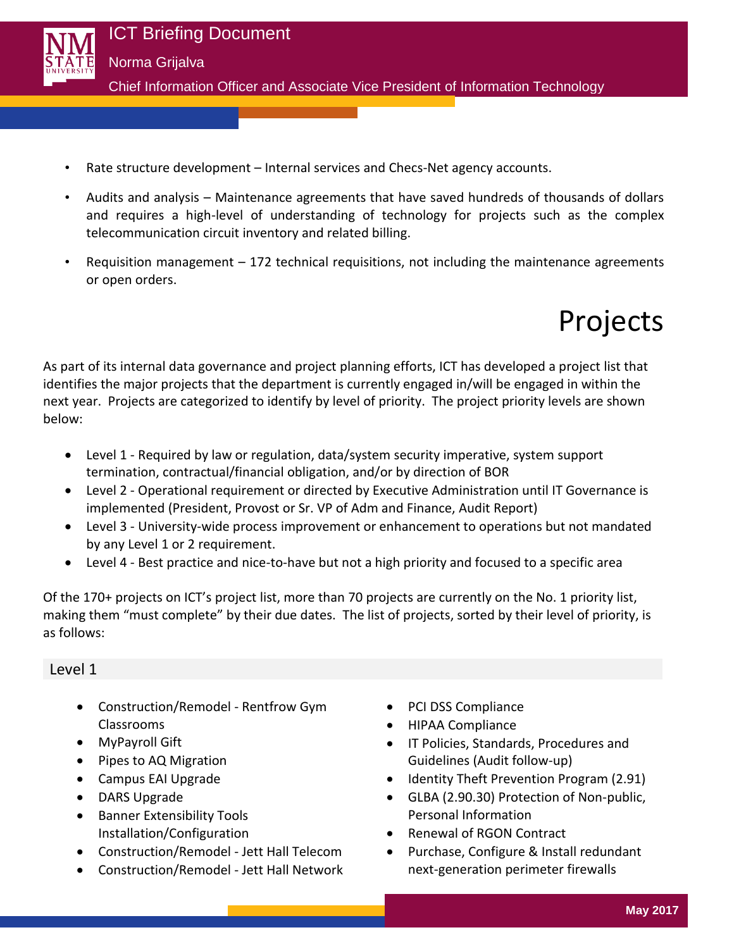

- Rate structure development Internal services and Checs-Net agency accounts.
- Audits and analysis Maintenance agreements that have saved hundreds of thousands of dollars and requires a high-level of understanding of technology for projects such as the complex telecommunication circuit inventory and related billing.
- Requisition management 172 technical requisitions, not including the maintenance agreements or open orders.

Projects

As part of its internal data governance and project planning efforts, ICT has developed a project list that identifies the major projects that the department is currently engaged in/will be engaged in within the next year. Projects are categorized to identify by level of priority. The project priority levels are shown below:

- Level 1 Required by law or regulation, data/system security imperative, system support termination, contractual/financial obligation, and/or by direction of BOR
- Level 2 Operational requirement or directed by Executive Administration until IT Governance is implemented (President, Provost or Sr. VP of Adm and Finance, Audit Report)
- Level 3 University-wide process improvement or enhancement to operations but not mandated by any Level 1 or 2 requirement.
- Level 4 Best practice and nice-to-have but not a high priority and focused to a specific area

Of the 170+ projects on ICT's project list, more than 70 projects are currently on the No. 1 priority list, making them "must complete" by their due dates. The list of projects, sorted by their level of priority, is as follows:

### Level 1

- Construction/Remodel Rentfrow Gym Classrooms
- MyPayroll Gift
- Pipes to AQ Migration
- Campus EAI Upgrade
- DARS Upgrade
- Banner Extensibility Tools Installation/Configuration
- Construction/Remodel Jett Hall Telecom
- Construction/Remodel Jett Hall Network
- PCI DSS Compliance
- HIPAA Compliance
- IT Policies, Standards, Procedures and Guidelines (Audit follow-up)
- Identity Theft Prevention Program (2.91)
- GLBA (2.90.30) Protection of Non-public, Personal Information
- Renewal of RGON Contract
- Purchase, Configure & Install redundant next-generation perimeter firewalls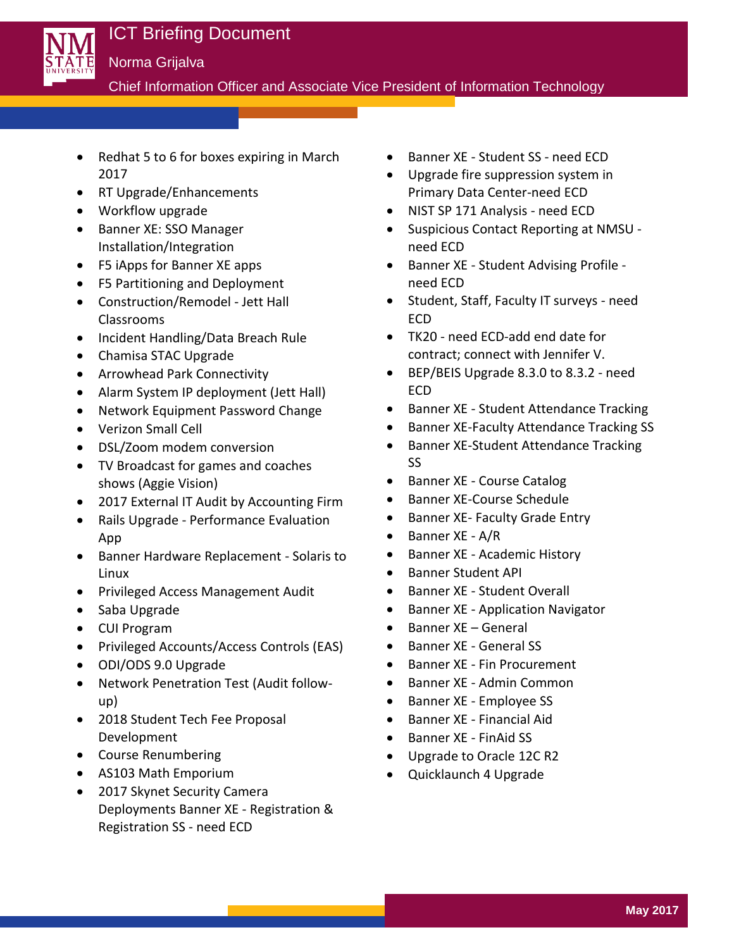

Chief Information Officer and Associate Vice President of Information Technology

- Redhat 5 to 6 for boxes expiring in March 2017
- RT Upgrade/Enhancements
- Workflow upgrade
- Banner XE: SSO Manager Installation/Integration
- F5 iApps for Banner XE apps
- F5 Partitioning and Deployment
- Construction/Remodel Jett Hall Classrooms
- Incident Handling/Data Breach Rule
- Chamisa STAC Upgrade
- Arrowhead Park Connectivity
- Alarm System IP deployment (Jett Hall)
- Network Equipment Password Change
- Verizon Small Cell
- DSL/Zoom modem conversion
- TV Broadcast for games and coaches shows (Aggie Vision)
- 2017 External IT Audit by Accounting Firm
- Rails Upgrade Performance Evaluation App
- Banner Hardware Replacement Solaris to Linux
- Privileged Access Management Audit
- Saba Upgrade
- CUI Program
- Privileged Accounts/Access Controls (EAS)
- ODI/ODS 9.0 Upgrade
- Network Penetration Test (Audit followup)
- 2018 Student Tech Fee Proposal Development
- Course Renumbering
- AS103 Math Emporium
- 2017 Skynet Security Camera Deployments Banner XE - Registration & Registration SS - need ECD
- Banner XE Student SS need ECD
- Upgrade fire suppression system in Primary Data Center-need ECD
- NIST SP 171 Analysis need ECD
- Suspicious Contact Reporting at NMSU need ECD
- Banner XE Student Advising Profile need ECD
- Student, Staff, Faculty IT surveys need ECD
- TK20 need ECD-add end date for contract; connect with Jennifer V.
- BEP/BEIS Upgrade 8.3.0 to 8.3.2 need ECD
- Banner XE Student Attendance Tracking
- Banner XE-Faculty Attendance Tracking SS
- Banner XE-Student Attendance Tracking SS
- Banner XE Course Catalog
- Banner XE-Course Schedule
- Banner XE- Faculty Grade Entry
- $\bullet$  Banner XE A/R
- Banner XE Academic History
- Banner Student API
- Banner XE Student Overall
- Banner XE Application Navigator
- Banner XE General
- Banner XE General SS
- Banner XE Fin Procurement
- Banner XE Admin Common
- Banner XE Employee SS
- Banner XE Financial Aid
- Banner XE FinAid SS
- Upgrade to Oracle 12C R2
- Quicklaunch 4 Upgrade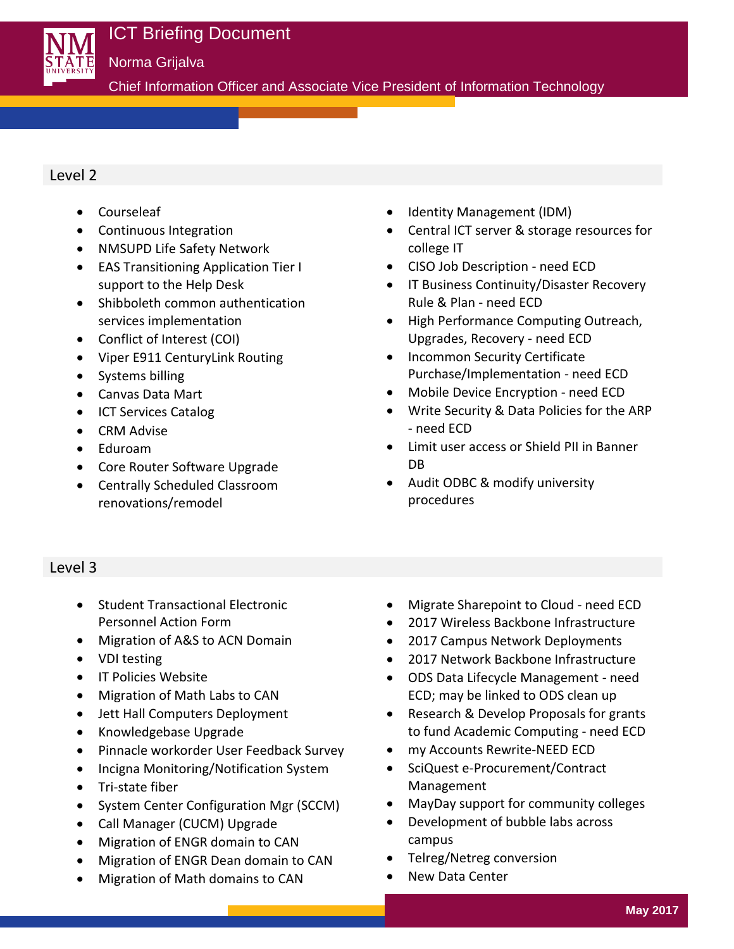

Chief Information Officer and Associate Vice President of Information Technology

## Level 2

- Courseleaf
- Continuous Integration
- NMSUPD Life Safety Network
- EAS Transitioning Application Tier I support to the Help Desk
- Shibboleth common authentication services implementation
- Conflict of Interest (COI)
- Viper E911 CenturyLink Routing
- Systems billing
- Canvas Data Mart
- ICT Services Catalog
- CRM Advise
- Eduroam
- Core Router Software Upgrade
- Centrally Scheduled Classroom renovations/remodel
- Identity Management (IDM)
- Central ICT server & storage resources for college IT
- CISO Job Description need ECD
- **•** IT Business Continuity/Disaster Recovery Rule & Plan - need ECD
- High Performance Computing Outreach, Upgrades, Recovery - need ECD
- Incommon Security Certificate Purchase/Implementation - need ECD
- Mobile Device Encryption need ECD
- Write Security & Data Policies for the ARP - need ECD
- Limit user access or Shield PII in Banner DB
- Audit ODBC & modify university procedures

# Level 3

- Student Transactional Electronic Personnel Action Form
- Migration of A&S to ACN Domain
- VDI testing
- IT Policies Website
- Migration of Math Labs to CAN
- Jett Hall Computers Deployment
- Knowledgebase Upgrade
- Pinnacle workorder User Feedback Survey
- Incigna Monitoring/Notification System
- Tri-state fiber
- System Center Configuration Mgr (SCCM)
- Call Manager (CUCM) Upgrade
- Migration of ENGR domain to CAN
- Migration of ENGR Dean domain to CAN
- Migration of Math domains to CAN
- Migrate Sharepoint to Cloud need ECD
- 2017 Wireless Backbone Infrastructure
- 2017 Campus Network Deployments
- 2017 Network Backbone Infrastructure
- ODS Data Lifecycle Management need ECD; may be linked to ODS clean up
- Research & Develop Proposals for grants to fund Academic Computing - need ECD
- my Accounts Rewrite-NEED ECD
- SciQuest e-Procurement/Contract Management
- MayDay support for community colleges
- Development of bubble labs across campus
- Telreg/Netreg conversion
- New Data Center